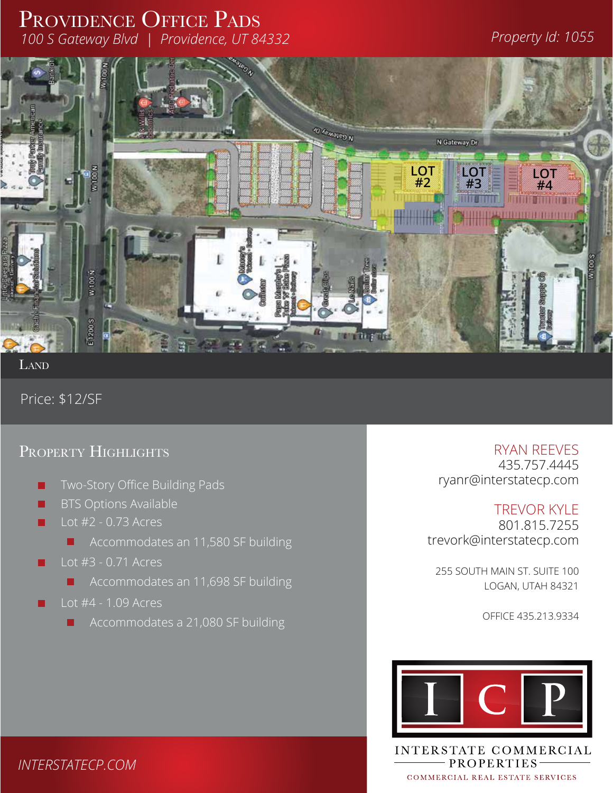## PROVIDENCE OFFICE PADS *100 S Gateway Blvd | Providence, UT 84332 Property Id: 1055*



LAND

Price: \$12/SF

## PROPERTY HIGHLIGHTS **RYAN REEVES**



435.757.4445 ryanr@interstatecp.com 1

TREVOR KYLE 801.815.7255 trevork@interstatecp.com  $\begin{bmatrix}\n-7. & \uparrow \\
\downarrow \downarrow\n\end{bmatrix}$  Macey's Macey's Macey's Macey's Macegover |<br>|2020<br>|2020

255 SOUTH MAIN ST. SUITE 100 LOGAN, UTAH 84321

OFFICE 435.213.9334



INTERSTATE COMMERCIAL - PROPERTIES-COMMERCIAL REAL ESTATE SERVICES

*INTERSTATECP.COM*